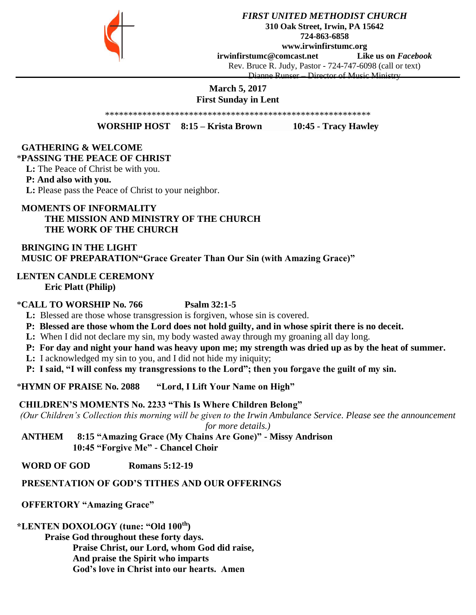

*FIRST UNITED METHODIST CHURCH* **310 Oak Street, Irwin, PA 15642 724-863-6858 www.irwinfirstumc.org [irwinfirstumc@comcast.net](mailto:irwinfirstumc@comcast.net) Like us on** *Facebook* Rev. Bruce R. Judy, Pastor - 724-747-6098 (call or text) Dianne Runser – Director of Music Ministry

## **March 5, 2017 First Sunday in Lent**

\*\*\*\*\*\*\*\*\*\*\*\*\*\*\*\*\*\*\*\*\*\*\*\*\*\*\*\*\*\*\*\*\*\*\*\*\*\*\*\*\*\*\*\*\*\*\*\*\*\*\*\*\*\*\*\*\*

**WORSHIP HOST 8:15 – Krista Brown 10:45 - Tracy Hawley**

# **GATHERING & WELCOME**

## \***PASSING THE PEACE OF CHRIST**

 **L:** The Peace of Christ be with you.

## **P: And also with you.**

 **L:** Please pass the Peace of Christ to your neighbor.

## **MOMENTS OF INFORMALITY THE MISSION AND MINISTRY OF THE CHURCH THE WORK OF THE CHURCH**

 **BRINGING IN THE LIGHT MUSIC OF PREPARATION"Grace Greater Than Our Sin (with Amazing Grace)"**

#### **LENTEN CANDLE CEREMONY Eric Platt (Philip)**

## \***CALL TO WORSHIP No. 766 Psalm 32:1-5**

- **L:** Blessed are those whose transgression is forgiven, whose sin is covered.
- **P: Blessed are those whom the Lord does not hold guilty, and in whose spirit there is no deceit.**
- **L:** When I did not declare my sin, my body wasted away through my groaning all day long.
- **P: For day and night your hand was heavy upon me; my strength was dried up as by the heat of summer.**
- **L:** I acknowledged my sin to you, and I did not hide my iniquity;
- **P: I said, "I will confess my transgressions to the Lord"; then you forgave the guilt of my sin.**

\***HYMN OF PRAISE No. 2088 "Lord, I Lift Your Name on High"**

## **CHILDREN'S MOMENTS No. 2233 "This Is Where Children Belong"**

*(Our Children's Collection this morning will be given to the Irwin Ambulance Service. Please see the announcement for more details.)*

 **ANTHEM 8:15 "Amazing Grace (My Chains Are Gone)" - Missy Andrison 10:45 "Forgive Me" - Chancel Choir**

 **WORD OF GOD Romans 5:12-19**

## **PRESENTATION OF GOD'S TITHES AND OUR OFFERINGS**

## **OFFERTORY "Amazing Grace"**

## **\*LENTEN DOXOLOGY (tune: "Old 100th)**

**Praise God throughout these forty days.**

**Praise Christ, our Lord, whom God did raise,**

 **And praise the Spirit who imparts**

 **God's love in Christ into our hearts. Amen**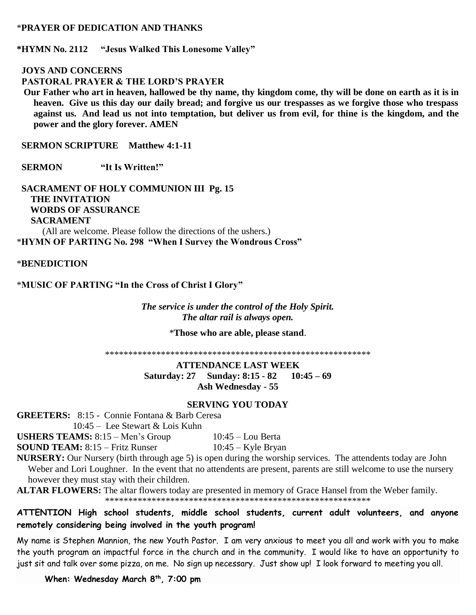## \***PRAYER OF DEDICATION AND THANKS**

**\*HYMN No. 2112 "Jesus Walked This Lonesome Valley"**

#### **JOYS AND CONCERNS**

 **PASTORAL PRAYER & THE LORD'S PRAYER** 

 **Our Father who art in heaven, hallowed be thy name, thy kingdom come, thy will be done on earth as it is in heaven. Give us this day our daily bread; and forgive us our trespasses as we forgive those who trespass against us. And lead us not into temptation, but deliver us from evil, for thine is the kingdom, and the power and the glory forever. AMEN**

**SERMON SCRIPTURE** Matthew 4:1-11

 **SERMON "It Is Written!"**

 **SACRAMENT OF HOLY COMMUNION III Pg. 15 THE INVITATION WORDS OF ASSURANCE SACRAMENT** (All are welcome. Please follow the directions of the ushers.) \***HYMN OF PARTING No. 298 "When I Survey the Wondrous Cross"**

\***BENEDICTION** 

\***MUSIC OF PARTING "In the Cross of Christ I Glory"**

*The service is under the control of the Holy Spirit. The altar rail is always open.*

\***Those who are able, please stand**.

\*\*\*\*\*\*\*\*\*\*\*\*\*\*\*\*\*\*\*\*\*\*\*\*\*\*\*\*\*\*\*\*\*\*\*\*\*\*\*\*\*\*\*\*\*\*\*\*\*\*\*\*\*\*\*\*\*

**ATTENDANCE LAST WEEK Saturday: 27 Sunday: 8:15 - 82 10:45 – 69 Ash Wednesday - 55**

#### **SERVING YOU TODAY**

**GREETERS:** 8:15 - Connie Fontana & Barb Ceresa

10:45 – Lee Stewart & Lois Kuhn

**USHERS TEAMS:**  $8:15 - \text{Men's Group}$   $10:45 - \text{Low Berta}$ 

**SOUND TEAM:** 8:15 – Fritz Runser 10:45 – Kyle Bryan

**NURSERY:** Our Nursery (birth through age 5) is open during the worship services. The attendents today are John Weber and Lori Loughner. In the event that no attendents are present, parents are still welcome to use the nursery however they must stay with their children.

**ALTAR FLOWERS:** The altar flowers today are presented in memory of Grace Hansel from the Weber family. \*\*\*\*\*\*\*\*\*\*\*\*\*\*\*\*\*\*\*\*\*\*\*\*\*\*\*\*\*\*\*\*\*\*\*\*\*\*\*\*\*\*\*\*\*\*\*\*\*\*\*\*\*\*\*\*\*

**ATTENTION High school students, middle school students, current adult volunteers, and anyone remotely considering being involved in the youth program!**

My name is Stephen Mannion, the new Youth Pastor. I am very anxious to meet you all and work with you to make the youth program an impactful force in the church and in the community. I would like to have an opportunity to just sit and talk over some pizza, on me. No sign up necessary. Just show up! I look forward to meeting you all.

**When: Wednesday March 8th, 7:00 pm**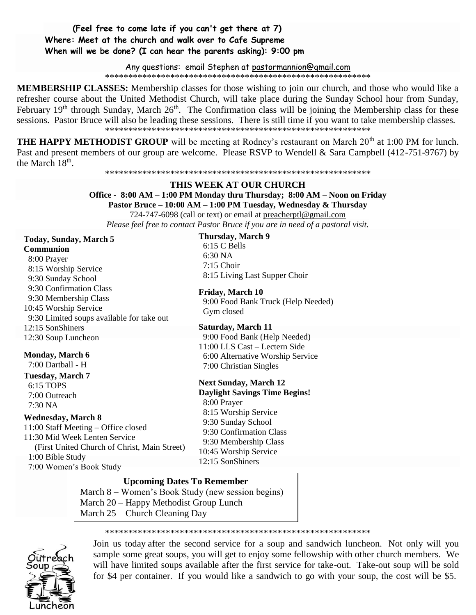## **(Feel free to come late if you can't get there at 7) Where: Meet at the church and walk over to Cafe Supreme When will we be done? (I can hear the parents asking): 9:00 pm**

Any questions: email Stephen at [pastormannion@gmail.com](javascript:window.top.ZmObjectManager.__doClickObject(document.getElementById(%22OBJ_PREFIX_DWT3415_com_zimbra_email%22));)

\*\*\*\*\*\*\*\*\*\*\*\*\*\*\*\*\*\*\*\*\*\*\*\*\*\*\*\*\*\*\*\*\*\*\*\*\*\*\*\*\*\*\*\*\*\*\*\*\*\*\*\*\*\*\*\*\*

**MEMBERSHIP CLASSES:** Membership classes for those wishing to join our church, and those who would like a refresher course about the United Methodist Church, will take place during the Sunday School hour from Sunday, February 19<sup>th</sup> through Sunday, March 26<sup>th</sup>. The Confirmation class will be joining the Membership class for these sessions. Pastor Bruce will also be leading these sessions. There is still time if you want to take membership classes. \*\*\*\*\*\*\*\*\*\*\*\*\*\*\*\*\*\*\*\*\*\*\*\*\*\*\*\*\*\*\*\*\*\*\*\*\*\*\*\*\*\*\*\*\*\*\*\*\*\*\*\*\*\*\*\*\*

**THE HAPPY METHODIST GROUP** will be meeting at Rodney's restaurant on March 20<sup>th</sup> at 1:00 PM for lunch. Past and present members of our group are welcome. Please RSVP to Wendell & Sara Campbell (412-751-9767) by the March 18<sup>th</sup>.

#### \*\*\*\*\*\*\*\*\*\*\*\*\*\*\*\*\*\*\*\*\*\*\*\*\*\*\*\*\*\*\*\*\*\*\*\*\*\*\*\*\*\*\*\*\*\*\*\*\*\*\*\*\*\*\*\*\*

## **THIS WEEK AT OUR CHURCH**

**Office - 8:00 AM – 1:00 PM Monday thru Thursday; 8:00 AM – Noon on Friday Pastor Bruce – 10:00 AM – 1:00 PM Tuesday, Wednesday & Thursday** 724-747-6098 (call or text) or email at [preacherptl@gmail.com](mailto:preacherptl@gmail.com)

*Please feel free to contact Pastor Bruce if you are in need of a pastoral visit.*

#### **Today, Sunday, March 5 Communion**

 8:00 Prayer 8:15 Worship Service 9:30 Sunday School 9:30 Confirmation Class 9:30 Membership Class 10:45 Worship Service 9:30 Limited soups available for take out 12:15 SonShiners 12:30 Soup Luncheon

## **Monday, March 6**

7:00 Dartball - H

**Tuesday, March 7** 6:15 TOPS 7:00 Outreach 7:30 NA

#### **Wednesday, March 8**

11:00 Staff Meeting – Office closed 11:30 Mid Week Lenten Service (First United Church of Christ, Main Street) 1:00 Bible Study 7:00 Women's Book Study

**Next Sunday, March 12 Daylight Savings Time Begins!** 8:00 Prayer 8:15 Worship Service 9:30 Sunday School 7:00 Christian Singles

 9:30 Confirmation Class 9:30 Membership Class

10:45 Worship Service

12:15 SonShiners

#### **Upcoming Dates To Remember**

March 8 – Women's Book Study (new session begins) March 20 – Happy Methodist Group Lunch March 25 – Church Cleaning Day

\*\*\*\*\*\*\*\*\*\*\*\*\*\*\*\*\*\*\*\*\*\*\*\*\*\*\*\*\*\*\*\*\*\*\*\*\*\*\*\*\*\*\*\*\*\*\*\*\*\*\*\*\*\*\*\*\*



Join us today after the second service for a soup and sandwich luncheon. Not only will you sample some great soups, you will get to enjoy some fellowship with other church members. We will have limited soups available after the first service for take-out. Take-out soup will be sold for \$4 per container. If you would like a sandwich to go with your soup, the cost will be \$5.

#### **Thursday, March 9**

 6:15 C Bells 6:30 NA 7:15 Choir 8:15 Living Last Supper Choir

**Friday, March 10**

 9:00 Food Bank Truck (Help Needed) Gym closed

**Saturday, March 11** 9:00 Food Bank (Help Needed) 11:00 LLS Cast – Lectern Side 6:00 Alternative Worship Service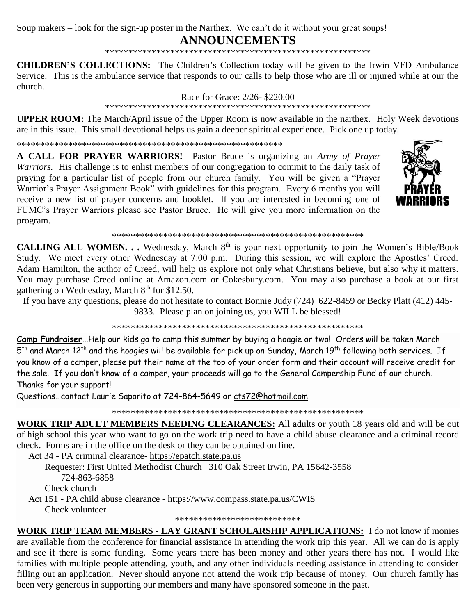Soup makers – look for the sign-up poster in the Narthex. We can't do it without your great soups!

# **ANNOUNCEMENTS**

**CHILDREN'S COLLECTIONS:** The Children's Collection today will be given to the Irwin VFD Ambulance Service. This is the ambulance service that responds to our calls to help those who are ill or injured while at our the church.

Race for Grace: 2/26-\$220.00

**UPPER ROOM:** The March/April issue of the Upper Room is now available in the narthex. Holy Week devotions are in this issue. This small devotional helps us gain a deeper spiritual experience. Pick one up today.

**A CALL FOR PRAYER WARRIORS!** Pastor Bruce is organizing an Army of Prayer Warriors. His challenge is to enlist members of our congregation to commit to the daily task of praying for a particular list of people from our church family. You will be given a "Prayer Warrior's Prayer Assignment Book" with guidelines for this program. Every 6 months you will receive a new list of prayer concerns and booklet. If you are interested in becoming one of FUMC's Prayer Warriors please see Pastor Bruce. He will give you more information on the program.



CALLING ALL WOMEN. . . Wednesday, March 8<sup>th</sup> is your next opportunity to join the Women's Bible/Book Study. We meet every other Wednesday at 7:00 p.m. During this session, we will explore the Apostles' Creed. Adam Hamilton, the author of Creed, will help us explore not only what Christians believe, but also why it matters. You may purchase Creed online at Amazon.com or Cokesbury.com. You may also purchase a book at our first gathering on Wednesday, March 8<sup>th</sup> for \$12.50.

If you have any questions, please do not hesitate to contact Bonnie Judy (724) 622-8459 or Becky Platt (412) 445-9833. Please plan on joining us, you WILL be blessed!

Camp Fundraiser...Help our kids go to camp this summer by buying a hoagie or two! Orders will be taken March 5<sup>th</sup> and March 12<sup>th</sup> and the hoagies will be available for pick up on Sunday, March 19<sup>th</sup> following both services. If you know of a camper, please put their name at the top of your order form and their account will receive credit for the sale. If you don't know of a camper, your proceeds will go to the General Campership Fund of our church. Thanks for your support!

Questions...contact Laurie Saporito at 724-864-5649 or cts72@hotmail.com

WORK TRIP ADULT MEMBERS NEEDING CLEARANCES: All adults or youth 18 years old and will be out of high school this year who want to go on the work trip need to have a child abuse clearance and a criminal record check. Forms are in the office on the desk or they can be obtained on line.

Act 34 - PA criminal clearance- https://epatch.state.pa.us

Requester: First United Methodist Church 310 Oak Street Irwin, PA 15642-3558 724-863-6858 Check church

Act 151 - PA child abuse clearance - https://www.compass.state.pa.us/CWIS Check volunteer

\*\*\*\*\*\*\*\*\*\*\*\*\*\*\*\*\*\*\*\*\*\*\*\*\*\*\*

WORK TRIP TEAM MEMBERS - LAY GRANT SCHOLARSHIP APPLICATIONS: I do not know if monies are available from the conference for financial assistance in attending the work trip this year. All we can do is apply and see if there is some funding. Some years there has been money and other years there has not. I would like families with multiple people attending, youth, and any other individuals needing assistance in attending to consider filling out an application. Never should anyone not attend the work trip because of money. Our church family has been very generous in supporting our members and many have sponsored someone in the past.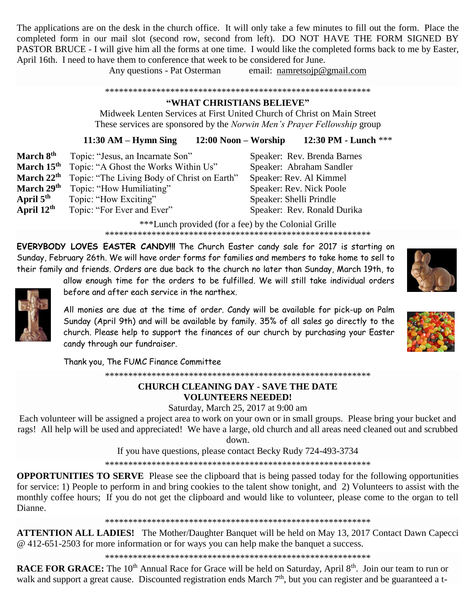The applications are on the desk in the church office. It will only take a few minutes to fill out the form. Place the completed form in our mail slot (second row, second from left). DO NOT HAVE THE FORM SIGNED BY PASTOR BRUCE - I will give him all the forms at one time. I would like the completed forms back to me by Easter, April 16th. I need to have them to conference that week to be considered for June.

Any questions - Pat Osterman email: [namretsojp@gmail.com](javascript:window.top.ZmObjectManager.__doClickObject(document.getElementById(%22OBJ_PREFIX_DWT2698_com_zimbra_email%22));)

\*\*\*\*\*\*\*\*\*\*\*\*\*\*\*\*\*\*\*\*\*\*\*\*\*\*\*\*\*\*\*\*\*\*\*\*\*\*\*\*\*\*\*\*\*\*\*\*\*\*\*\*\*\*\*\*\*

## **"WHAT CHRISTIANS BELIEVE"**

Midweek Lenten Services at First United Church of Christ on Main Street These services are sponsored by the *Norwin Men's Prayer Fellowship* group

**11:30 AM – Hymn Sing 12:00 Noon – Worship 12:30 PM - Lunch** \*\*\*

**March 8th** Topic: "Jesus, an Incarnate Son" Speaker: Rev. Brenda Barnes **March 15th** Topic: "A Ghost the Works Within Us" Speaker: Abraham Sandler **March 22th** Topic: "The Living Body of Christ on Earth" Speaker: Rev. Al Kimmel **March 29th** Topic: "How Humiliating" Speaker: Rev. Nick Poole **April 5th** Topic: "How Exciting" Speaker: Shelli Prindle **April 12th** Topic: "For Ever and Ever" Speaker: Rev. Ronald Durika

\*\*\*Lunch provided (for a fee) by the Colonial Grille \*\*\*\*\*\*\*\*\*\*\*\*\*\*\*\*\*\*\*\*\*\*\*\*\*\*\*\*\*\*\*\*\*\*\*\*\*\*\*\*\*\*\*\*\*\*\*\*\*\*\*\*\*\*\*\*\*

**EVERYBODY LOVES EASTER CANDY!!!** The Church Easter candy sale for 2017 is starting on Sunday, February 26th. We will have order forms for families and members to take home to sell to their family and friends. Orders are due back to the church no later than Sunday, March 19th, to

allow enough time for the orders to be fulfilled. We will still take individual orders before and after each service in the narthex.

All monies are due at the time of order. Candy will be available for pick-up on Palm Sunday (April 9th) and will be available by family. 35% of all sales go directly to the church. Please help to support the finances of our church by purchasing your Easter candy through our fundraiser.

Thank you, The FUMC Finance Committee

\*\*\*\*\*\*\*\*\*\*\*\*\*\*\*\*\*\*\*\*\*\*\*\*\*\*\*\*\*\*\*\*\*\*\*\*\*\*\*\*\*\*\*\*\*\*\*\*\*\*\*\*\*\*\*\*\*

## **CHURCH CLEANING DAY - SAVE THE DATE VOLUNTEERS NEEDED!**

Saturday, March 25, 2017 at 9:00 am

Each volunteer will be assigned a project area to work on your own or in small groups. Please bring your bucket and rags! All help will be used and appreciated! We have a large, old church and all areas need cleaned out and scrubbed down.

If you have questions, please contact Becky Rudy 724-493-3734

\*\*\*\*\*\*\*\*\*\*\*\*\*\*\*\*\*\*\*\*\*\*\*\*\*\*\*\*\*\*\*\*\*\*\*\*\*\*\*\*\*\*\*\*\*\*\*\*\*\*\*\*\*\*\*\*\*

**OPPORTUNITIES TO SERVE** Please see the clipboard that is being passed today for the following opportunities for service: 1) People to perform in and bring cookies to the talent show tonight, and 2) Volunteers to assist with the monthly coffee hours; If you do not get the clipboard and would like to volunteer, please come to the organ to tell Dianne.

\*\*\*\*\*\*\*\*\*\*\*\*\*\*\*\*\*\*\*\*\*\*\*\*\*\*\*\*\*\*\*\*\*\*\*\*\*\*\*\*\*\*\*\*\*\*\*\*\*\*\*\*\*\*\*\*\*

**ATTENTION ALL LADIES!** The Mother/Daughter Banquet will be held on May 13, 2017 Contact Dawn Capecci @ 412-651-2503 for more information or for ways you can help make the banquet a success.

\*\*\*\*\*\*\*\*\*\*\*\*\*\*\*\*\*\*\*\*\*\*\*\*\*\*\*\*\*\*\*\*\*\*\*\*\*\*\*\*\*\*\*\*\*\*\*\*\*\*\*\*\*\*\*\*\*

RACE FOR GRACE: The 10<sup>th</sup> Annual Race for Grace will be held on Saturday, April 8<sup>th</sup>. Join our team to run or walk and support a great cause. Discounted registration ends March 7<sup>th</sup>, but you can register and be guaranteed a t-